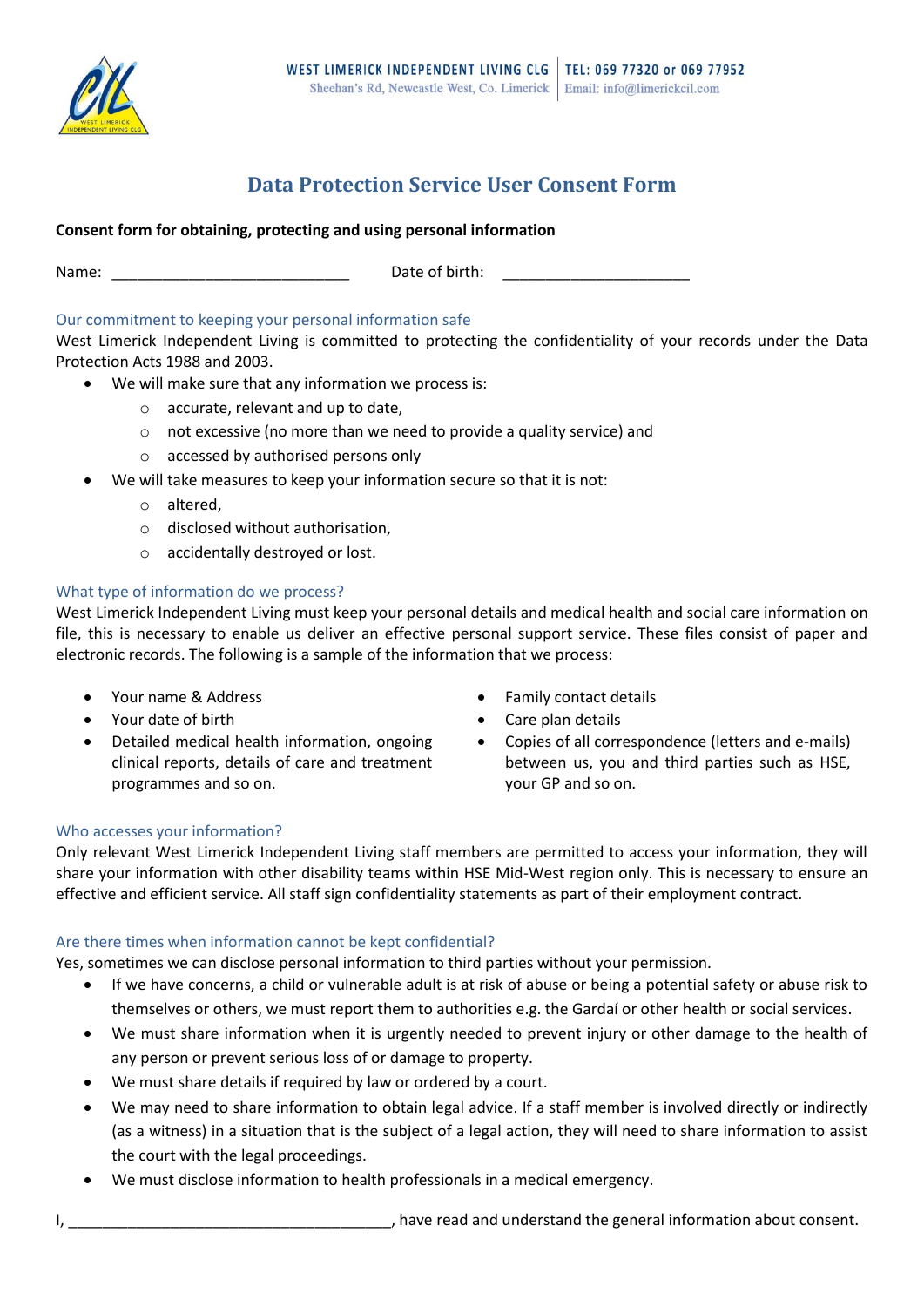

# **Data Protection Service User Consent Form**

# **Consent form for obtaining, protecting and using personal information**

Name: The contraction of  $\Box$  Date of birth:

# Our commitment to keeping your personal information safe

West Limerick Independent Living is committed to protecting the confidentiality of your records under the Data Protection Acts 1988 and 2003.

- We will make sure that any information we process is:
	- o accurate, relevant and up to date,
	- o not excessive (no more than we need to provide a quality service) and
	- o accessed by authorised persons only
- We will take measures to keep your information secure so that it is not:
	- o altered,
	- o disclosed without authorisation,
	- o accidentally destroyed or lost.

## What type of information do we process?

West Limerick Independent Living must keep your personal details and medical health and social care information on file, this is necessary to enable us deliver an effective personal support service. These files consist of paper and electronic records. The following is a sample of the information that we process:

- 
- 
- Detailed medical health information, ongoing clinical reports, details of care and treatment programmes and so on.
- Your name & Address **Family contact details**
- Your date of birth  $\bullet$  Care plan details
	- Copies of all correspondence (letters and e-mails) between us, you and third parties such as HSE, your GP and so on.

## Who accesses your information?

Only relevant West Limerick Independent Living staff members are permitted to access your information, they will share your information with other disability teams within HSE Mid-West region only. This is necessary to ensure an effective and efficient service. All staff sign confidentiality statements as part of their employment contract.

## Are there times when information cannot be kept confidential?

Yes, sometimes we can disclose personal information to third parties without your permission.

- If we have concerns, a child or vulnerable adult is at risk of abuse or being a potential safety or abuse risk to themselves or others, we must report them to authorities e.g. the Gardaí or other health or social services.
- We must share information when it is urgently needed to prevent injury or other damage to the health of any person or prevent serious loss of or damage to property.
- We must share details if required by law or ordered by a court.
- We may need to share information to obtain legal advice. If a staff member is involved directly or indirectly (as a witness) in a situation that is the subject of a legal action, they will need to share information to assist the court with the legal proceedings.
- We must disclose information to health professionals in a medical emergency.